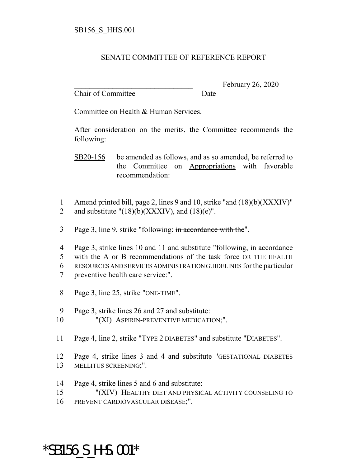## SENATE COMMITTEE OF REFERENCE REPORT

Chair of Committee Date

February 26, 2020

Committee on Health & Human Services.

After consideration on the merits, the Committee recommends the following:

SB20-156 be amended as follows, and as so amended, be referred to the Committee on Appropriations with favorable recommendation:

- 1 Amend printed bill, page 2, lines 9 and 10, strike "and (18)(b)(XXXIV)" 2 and substitute " $(18)(b)(XXXIV)$ , and  $(18)(e)$ ".
- 3 Page 3, line 9, strike "following: in accordance with the".

 Page 3, strike lines 10 and 11 and substitute "following, in accordance with the A or B recommendations of the task force OR THE HEALTH RESOURCES AND SERVICES ADMINISTRATION GUIDELINES for the particular preventive health care service:".

- 8 Page 3, line 25, strike "ONE-TIME".
- 9 Page 3, strike lines 26 and 27 and substitute:
- 10 "(XI) ASPIRIN-PREVENTIVE MEDICATION;".
- 11 Page 4, line 2, strike "TYPE 2 DIABETES" and substitute "DIABETES".
- 12 Page 4, strike lines 3 and 4 and substitute "GESTATIONAL DIABETES 13 MELLITUS SCREENING;".
- 14 Page 4, strike lines 5 and 6 and substitute:

15 "(XIV) HEALTHY DIET AND PHYSICAL ACTIVITY COUNSELING TO

16 PREVENT CARDIOVASCULAR DISEASE;".

## \*SB156\_S\_HHS.001\*